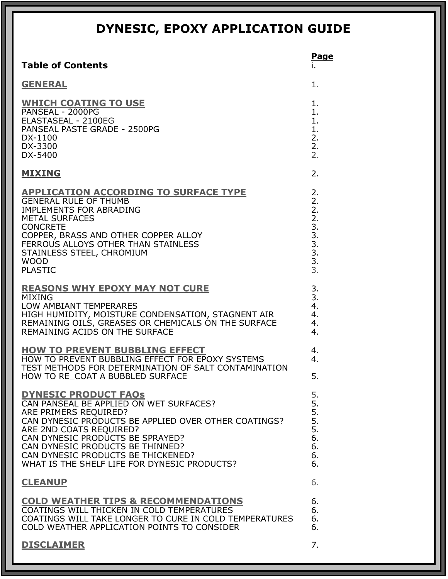|                                                                                                                                                                                                                                                                                                                                                  | <b>Page</b>                                              |
|--------------------------------------------------------------------------------------------------------------------------------------------------------------------------------------------------------------------------------------------------------------------------------------------------------------------------------------------------|----------------------------------------------------------|
| <b>Table of Contents</b>                                                                                                                                                                                                                                                                                                                         | ۱.                                                       |
| <b>GENERAL</b>                                                                                                                                                                                                                                                                                                                                   | 1.                                                       |
| <b>WHICH COATING TO USE</b><br>PANSEAL - 2000PG<br>ELASTASEAL - 2100EG<br>PANSEAL PASTE GRADE - 2500PG<br>DX-1100<br>DX-3300<br>DX-5400                                                                                                                                                                                                          | 1.<br>1.<br>$\mathbf{1}$ .<br>1.<br>2.<br>2.<br>2.       |
| <b>MIXING</b>                                                                                                                                                                                                                                                                                                                                    | 2.                                                       |
| <b>APPLICATION ACCORDING TO SURFACE TYPE</b><br><b>GENERAL RULE OF THUMB</b><br><b>IMPLEMENTS FOR ABRADING</b><br><b>METAL SURFACES</b><br><b>CONCRETE</b><br>COPPER, BRASS AND OTHER COPPER ALLOY<br>FERROUS ALLOYS OTHER THAN STAINLESS<br>STAINLESS STEEL, CHROMIUM<br><b>WOOD</b><br><b>PLASTIC</b>                                          | 2.<br>2.<br>2.<br>2.<br>3.<br>3.<br>3.<br>3.<br>3.<br>3. |
| <b>REASONS WHY EPOXY MAY NOT CURE</b><br><b>MIXING</b><br>LOW AMBIANT TEMPERARES<br>HIGH HUMIDITY, MOISTURE CONDENSATION, STAGNENT AIR<br>REMAINING OILS, GREASES OR CHEMICALS ON THE SURFACE<br>REMAINING ACIDS ON THE SURFACE                                                                                                                  | 3.<br>3.<br>4.<br>4.<br>4.<br>4.                         |
| <b>HOW TO PREVENT BUBBLING EFFECT</b><br>HOW TO PREVENT BUBBLING EFFECT FOR EPOXY SYSTEMS<br>TEST METHODS FOR DETERMINATION OF SALT CONTAMINATION<br>HOW TO RE_COAT A BUBBLED SURFACE                                                                                                                                                            | 4.<br>4.<br>5.                                           |
| <b>DYNESIC PRODUCT FAOS</b><br>CAN PANSEAL BE APPLIED ON WET SURFACES?<br>ARE PRIMERS REQUIRED?<br>CAN DYNESIC PRODUCTS BE APPLIED OVER OTHER COATINGS?<br>ARE 2ND COATS REQUIRED?<br>CAN DYNESIC PRODUCTS BE SPRAYED?<br>CAN DYNESIC PRODUCTS BE THINNED?<br>CAN DYNESIC PRODUCTS BE THICKENED?<br>WHAT IS THE SHELF LIFE FOR DYNESIC PRODUCTS? | 5.<br>5.<br>5.<br>5.<br>5.<br>6.<br>6.<br>6.<br>6.       |
| <b>CLEANUP</b>                                                                                                                                                                                                                                                                                                                                   | 6.                                                       |
| <b>COLD WEATHER TIPS &amp; RECOMMENDATIONS</b><br>COATINGS WILL THICKEN IN COLD TEMPERATURES<br>COATINGS WILL TAKE LONGER TO CURE IN COLD TEMPERATURES<br>COLD WEATHER APPLICATION POINTS TO CONSIDER                                                                                                                                            | 6.<br>6.<br>6.<br>6.                                     |
| <b>DISCLAIMER</b>                                                                                                                                                                                                                                                                                                                                | 7.                                                       |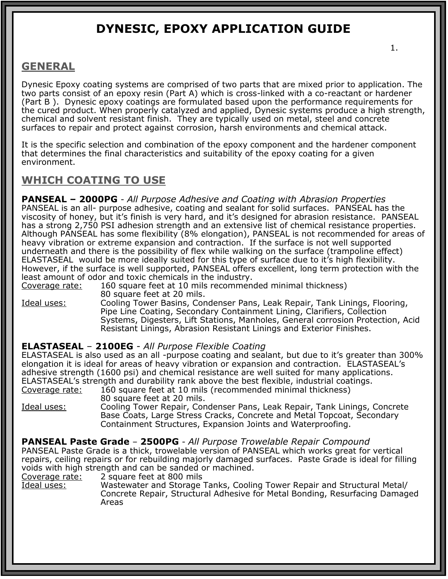### **GENERAL**

Dynesic Epoxy coating systems are comprised of two parts that are mixed prior to application. The two parts consist of an epoxy resin (Part A) which is cross-linked with a co-reactant or hardener (Part B ). Dynesic epoxy coatings are formulated based upon the performance requirements for the cured product. When properly catalyzed and applied, Dynesic systems produce a high strength, chemical and solvent resistant finish. They are typically used on metal, steel and concrete surfaces to repair and protect against corrosion, harsh environments and chemical attack.

It is the specific selection and combination of the epoxy component and the hardener component that determines the final characteristics and suitability of the epoxy coating for a given environment.

### **WHICH COATING TO USE**

**PANSEAL – 2000PG** - *All Purpose Adhesive and Coating with Abrasion Properties* PANSEAL is an all- purpose adhesive, coating and sealant for solid surfaces. PANSEAL has the viscosity of honey, but it's finish is very hard, and it's designed for abrasion resistance. PANSEAL has a strong 2,750 PSI adhesion strength and an extensive list of chemical resistance properties. Although PANSEAL has some flexibility (8% elongation), PANSEAL is not recommended for areas of heavy vibration or extreme expansion and contraction. If the surface is not well supported underneath and there is the possibility of flex while walking on the surface (trampoline effect) ELASTASEAL would be more ideally suited for this type of surface due to it's high flexibility. However, if the surface is well supported, PANSEAL offers excellent, long term protection with the least amount of odor and toxic chemicals in the industry.

Coverage rate: 160 square feet at 10 mils recommended minimal thickness) 80 square feet at 20 mils.

Ideal uses: Cooling Tower Basins, Condenser Pans, Leak Repair, Tank Linings, Flooring, Pipe Line Coating, Secondary Containment Lining, Clarifiers, Collection Systems, Digesters, Lift Stations, Manholes, General corrosion Protection, Acid Resistant Linings, Abrasion Resistant Linings and Exterior Finishes.

#### **ELASTASEAL** – **2100EG** - *All Purpose Flexible Coating*

ELASTASEAL is also used as an all -purpose coating and sealant, but due to it's greater than 300% elongation it is ideal for areas of heavy vibration or expansion and contraction. ELASTASEAL's adhesive strength (1600 psi) and chemical resistance are well suited for many applications. ELASTASEAL's strength and durability rank above the best flexible, industrial coatings. Coverage rate: 160 square feet at 10 mils (recommended minimal thickness)

80 square feet at 20 mils. Ideal uses: Cooling Tower Repair, Condenser Pans, Leak Repair, Tank Linings, Concrete Base Coats, Large Stress Cracks, Concrete and Metal Topcoat, Secondary Containment Structures, Expansion Joints and Waterproofing.

#### **PANSEAL Paste Grade** – **2500PG** - *All Purpose Trowelable Repair Compound*

PANSEAL Paste Grade is a thick, trowelable version of PANSEAL which works great for vertical repairs, ceiling repairs or for rebuilding majorly damaged surfaces. Paste Grade is ideal for filling voids with high strength and can be sanded or machined.

Coverage rate: 2 square feet at 800 mils

Ideal uses: Wastewater and Storage Tanks, Cooling Tower Repair and Structural Metal/ Concrete Repair, Structural Adhesive for Metal Bonding, Resurfacing Damaged Areas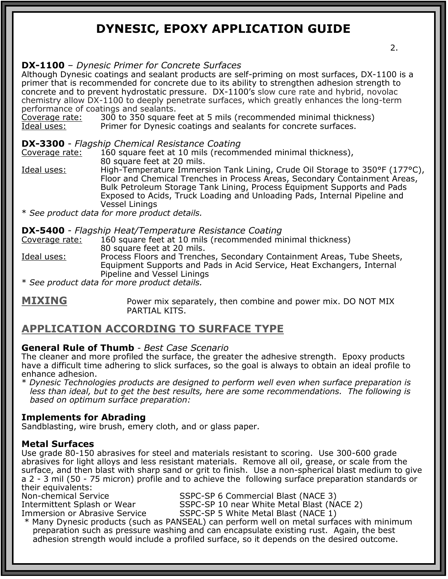#### **DX-1100** – *Dynesic Primer for Concrete Surfaces*

Although Dynesic coatings and sealant products are self-priming on most surfaces, DX-1100 is a primer that is recommended for concrete due to its ability to strengthen adhesion strength to concrete and to prevent hydrostatic pressure. DX-1100's slow cure rate and hybrid, novolac chemistry allow DX-1100 to deeply penetrate surfaces, which greatly enhances the long-term performance of coatings and sealants.

Coverage rate: 300 to 350 square feet at 5 mils (recommended minimal thickness)<br>Ideal uses: Primer for Dynesic coatings and sealants for concrete surfaces. Primer for Dynesic coatings and sealants for concrete surfaces.

#### **DX-3300** - *Flagship Chemical Resistance Coating*

Coverage rate: 160 square feet at 10 mils (recommended minimal thickness), 80 square feet at 20 mils.

Ideal uses: High-Temperature Immersion Tank Lining, Crude Oil Storage to 350°F (177°C), Floor and Chemical Trenches in Process Areas, Secondary Containment Areas, Bulk Petroleum Storage Tank Lining, Process Equipment Supports and Pads Exposed to Acids, Truck Loading and Unloading Pads, Internal Pipeline and Vessel Linings

\* *See product data for more product details.* 

#### **DX-5400** - *Flagship Heat/Temperature Resistance Coating*

Coverage rate: 160 square feet at 10 mils (recommended minimal thickness) 80 square feet at 20 mils. Ideal uses: Process Floors and Trenches, Secondary Containment Areas, Tube Sheets, Equipment Supports and Pads in Acid Service, Heat Exchangers, Internal Pipeline and Vessel Linings

\* *See product data for more product details.*

**MIXING** Power mix separately, then combine and power mix. DO NOT MIX PARTIAL KITS.

### **APPLICATION ACCORDING TO SURFACE TYPE**

#### **General Rule of Thumb** - *Best Case Scenario*

The cleaner and more profiled the surface, the greater the adhesive strength. Epoxy products have a difficult time adhering to slick surfaces, so the goal is always to obtain an ideal profile to enhance adhesion.

\* *Dynesic Technologies products are designed to perform well even when surface preparation is less than ideal, but to get the best results, here are some recommendations. The following is based on optimum surface preparation:* 

#### **Implements for Abrading**

Sandblasting, wire brush, emery cloth, and or glass paper.

#### **Metal Surfaces**

Use grade 80-150 abrasives for steel and materials resistant to scoring. Use 300-600 grade abrasives for light alloys and less resistant materials. Remove all oil, grease, or scale from the surface, and then blast with sharp sand or grit to finish. Use a non-spherical blast medium to give a 2 - 3 mil (50 - 75 micron) profile and to achieve the following surface preparation standards or their equivalents:

Intermittent Splash or Wear<br>Immersion or Abrasive Service

Non-chemical Service SSPC-SP 6 Commercial Blast (NACE 3)

SSPC-SP 10 near White Metal Blast (NACE 2)<br>SSPC-SP 5 White Metal Blast (NACE 1)

\* Many Dynesic products (such as PANSEAL) can perform well on metal surfaces with minimum preparation such as pressure washing and can encapsulate existing rust. Again, the best adhesion strength would include a profiled surface, so it depends on the desired outcome.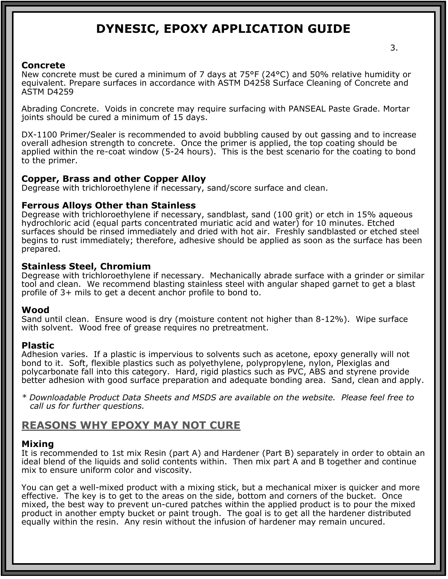#### **Concrete**

New concrete must be cured a minimum of 7 days at 75°F (24°C) and 50% relative humidity or equivalent. Prepare surfaces in accordance with ASTM D4258 Surface Cleaning of Concrete and ASTM D4259

Abrading Concrete. Voids in concrete may require surfacing with PANSEAL Paste Grade. Mortar joints should be cured a minimum of 15 days.

DX-1100 Primer/Sealer is recommended to avoid bubbling caused by out gassing and to increase overall adhesion strength to concrete. Once the primer is applied, the top coating should be applied within the re-coat window (5-24 hours). This is the best scenario for the coating to bond to the primer.

#### **Copper, Brass and other Copper Alloy**

Degrease with trichloroethylene if necessary, sand/score surface and clean.

#### **Ferrous Alloys Other than Stainless**

Degrease with trichloroethylene if necessary, sandblast, sand (100 grit) or etch in 15% aqueous hydrochloric acid (equal parts concentrated muriatic acid and water) for 10 minutes. Etched surfaces should be rinsed immediately and dried with hot air. Freshly sandblasted or etched steel begins to rust immediately; therefore, adhesive should be applied as soon as the surface has been prepared.

#### **Stainless Steel, Chromium**

Degrease with trichloroethylene if necessary. Mechanically abrade surface with a grinder or similar tool and clean. We recommend blasting stainless steel with angular shaped garnet to get a blast profile of 3+ mils to get a decent anchor profile to bond to.

#### **Wood**

Sand until clean. Ensure wood is dry (moisture content not higher than 8-12%). Wipe surface with solvent. Wood free of grease requires no pretreatment.

#### **Plastic**

Adhesion varies. If a plastic is impervious to solvents such as acetone, epoxy generally will not bond to it. Soft, flexible plastics such as polyethylene, polypropylene, nylon, Plexiglas and polycarbonate fall into this category. Hard, rigid plastics such as PVC, ABS and styrene provide better adhesion with good surface preparation and adequate bonding area. Sand, clean and apply.

*\* Downloadable Product Data Sheets and MSDS are available on the website. Please feel free to call us for further questions.*

### **REASONS WHY EPOXY MAY NOT CURE**

#### **Mixing**

It is recommended to 1st mix Resin (part A) and Hardener (Part B) separately in order to obtain an ideal blend of the liquids and solid contents within. Then mix part A and B together and continue mix to ensure uniform color and viscosity.

You can get a well-mixed product with a mixing stick, but a mechanical mixer is quicker and more effective. The key is to get to the areas on the side, bottom and corners of the bucket. Once mixed, the best way to prevent un-cured patches within the applied product is to pour the mixed product in another empty bucket or paint trough. The goal is to get all the hardener distributed equally within the resin. Any resin without the infusion of hardener may remain uncured.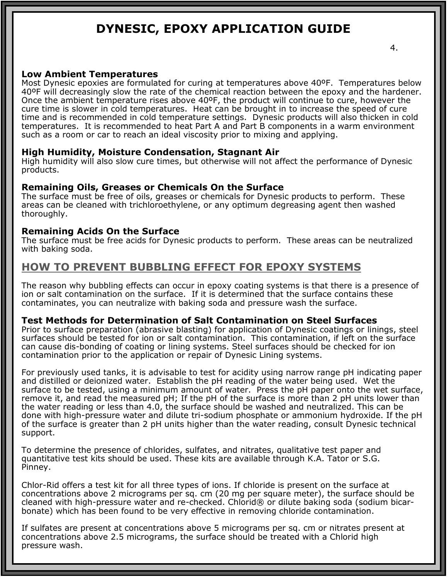#### 4.

#### **Low Ambient Temperatures**

Most Dynesic epoxies are formulated for curing at temperatures above 40ºF. Temperatures below 40ºF will decreasingly slow the rate of the chemical reaction between the epoxy and the hardener. Once the ambient temperature rises above 40°F, the product will continue to cure, however the cure time is slower in cold temperatures. Heat can be brought in to increase the speed of cure time and is recommended in cold temperature settings. Dynesic products will also thicken in cold temperatures. It is recommended to heat Part A and Part B components in a warm environment such as a room or car to reach an ideal viscosity prior to mixing and applying.

#### **High Humidity, Moisture Condensation, Stagnant Air**

High humidity will also slow cure times, but otherwise will not affect the performance of Dynesic products.

#### **Remaining Oils, Greases or Chemicals On the Surface**

The surface must be free of oils, greases or chemicals for Dynesic products to perform. These areas can be cleaned with trichloroethylene, or any optimum degreasing agent then washed thoroughly.

#### **Remaining Acids On the Surface**

The surface must be free acids for Dynesic products to perform. These areas can be neutralized with baking soda.

### **HOW TO PREVENT BUBBLING EFFECT FOR EPOXY SYSTEMS**

The reason why bubbling effects can occur in epoxy coating systems is that there is a presence of ion or salt contamination on the surface. If it is determined that the surface contains these contaminates, you can neutralize with baking soda and pressure wash the surface.

#### **Test Methods for Determination of Salt Contamination on Steel Surfaces**

Prior to surface preparation (abrasive blasting) for application of Dynesic coatings or linings, steel surfaces should be tested for ion or salt contamination. This contamination, if left on the surface can cause dis-bonding of coating or lining systems. Steel surfaces should be checked for ion contamination prior to the application or repair of Dynesic Lining systems.

For previously used tanks, it is advisable to test for acidity using narrow range pH indicating paper and distilled or deionized water. Establish the pH reading of the water being used. Wet the surface to be tested, using a minimum amount of water. Press the pH paper onto the wet surface, remove it, and read the measured pH; If the pH of the surface is more than 2 pH units lower than the water reading or less than 4.0, the surface should be washed and neutralized. This can be done with high-pressure water and dilute tri-sodium phosphate or ammonium hydroxide. If the pH of the surface is greater than 2 pH units higher than the water reading, consult Dynesic technical support.

To determine the presence of chlorides, sulfates, and nitrates, qualitative test paper and quantitative test kits should be used. These kits are available through K.A. Tator or S.G. Pinney.

Chlor-Rid offers a test kit for all three types of ions. If chloride is present on the surface at concentrations above 2 micrograms per sq. cm (20 mg per square meter), the surface should be cleaned with high-pressure water and re-checked. Chlorid® or dilute baking soda (sodium bicarbonate) which has been found to be very effective in removing chloride contamination.

If sulfates are present at concentrations above 5 micrograms per sq. cm or nitrates present at concentrations above 2.5 micrograms, the surface should be treated with a Chlorid high pressure wash.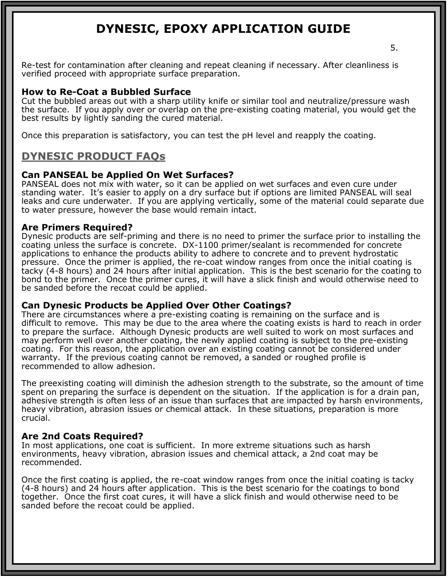Re-test for contamination after cleaning and repeat cleaning if necessary. After cleanliness is verified proceed with appropriate surface preparation.

#### **How to Re-Coat a Bubbled Surface**

Cut the bubbled areas out with a sharp utility knife or similar tool and neutralize/pressure wash the surface. If you apply over or overlap on the pre-existing coating material, you would get the best results by lightly sanding the cured material.

Once this preparation is satisfactory, you can test the pH level and reapply the coating.

### **DYNESIC PRODUCT FAQs**

#### **Can PANSEAL be Applied On Wet Surfaces?**

PANSEAL does not mix with water, so it can be applied on wet surfaces and even cure under standing water. It's easier to apply on a dry surface but if options are limited PANSEAL will seal leaks and cure underwater. If you are applying vertically, some of the material could separate due to water pressure, however the base would remain intact.

#### **Are Primers Required?**

Dynesic products are self-priming and there is no need to primer the surface prior to installing the coating unless the surface is concrete. DX-1100 primer/sealant is recommended for concrete applications to enhance the products ability to adhere to concrete and to prevent hydrostatic pressure. Once the primer is applied, the re-coat window ranges from once the initial coating is tacky (4-8 hours) and 24 hours after initial application. This is the best scenario for the coating to bond to the primer. Once the primer cures, it will have a slick finish and would otherwise need to be sanded before the recoat could be applied.

#### **Can Dynesic Products be Applied Over Other Coatings?**

There are circumstances where a pre-existing coating is remaining on the surface and is difficult to remove. This may be due to the area where the coating exists is hard to reach in order to prepare the surface. Although Dynesic products are well suited to work on most surfaces and may perform well over another coating, the newly applied coating is subject to the pre-existing coating. For this reason, the application over an existing coating cannot be considered under warranty. If the previous coating cannot be removed, a sanded or roughed profile is recommended to allow adhesion.

The preexisting coating will diminish the adhesion strength to the substrate, so the amount of time spent on preparing the surface is dependent on the situation. If the application is for a drain pan, adhesive strength is often less of an issue than surfaces that are impacted by harsh environments, heavy vibration, abrasion issues or chemical attack. In these situations, preparation is more crucial.

#### **Are 2nd Coats Required?**

In most applications, one coat is sufficient. In more extreme situations such as harsh environments, heavy vibration, abrasion issues and chemical attack, a 2nd coat may be recommended.

Once the first coating is applied, the re-coat window ranges from once the initial coating is tacky (4-8 hours) and 24 hours after application. This is the best scenario for the coatings to bond together. Once the first coat cures, it will have a slick finish and would otherwise need to be sanded before the recoat could be applied.

5.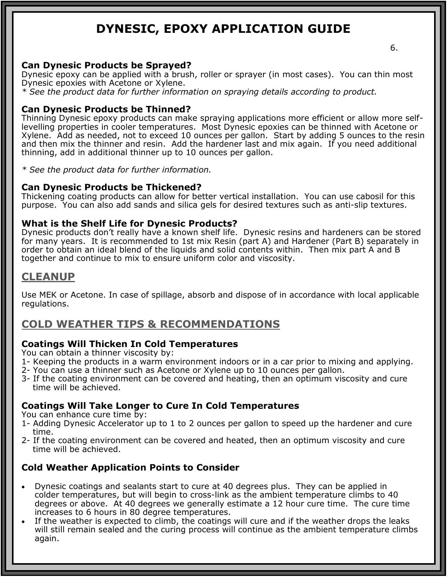#### **Can Dynesic Products be Sprayed?**

Dynesic epoxy can be applied with a brush, roller or sprayer (in most cases). You can thin most Dynesic epoxies with Acetone or Xylene.

*\* See the product data for further information on spraying details according to product.* 

#### **Can Dynesic Products be Thinned?**

Thinning Dynesic epoxy products can make spraying applications more efficient or allow more selflevelling properties in cooler temperatures. Most Dynesic epoxies can be thinned with Acetone or Xylene. Add as needed, not to exceed 10 ounces per gallon. Start by adding 5 ounces to the resin and then mix the thinner and resin. Add the hardener last and mix again. If you need additional thinning, add in additional thinner up to 10 ounces per gallon.

*\* See the product data for further information.* 

#### **Can Dynesic Products be Thickened?**

Thickening coating products can allow for better vertical installation. You can use cabosil for this purpose. You can also add sands and silica gels for desired textures such as anti-slip textures.

#### **What is the Shelf Life for Dynesic Products?**

Dynesic products don't really have a known shelf life. Dynesic resins and hardeners can be stored for many years. It is recommended to 1st mix Resin (part A) and Hardener (Part B) separately in order to obtain an ideal blend of the liquids and solid contents within. Then mix part A and B together and continue to mix to ensure uniform color and viscosity.

#### **CLEANUP**

Use MEK or Acetone. In case of spillage, absorb and dispose of in accordance with local applicable regulations.

### **COLD WEATHER TIPS & RECOMMENDATIONS**

#### **Coatings Will Thicken In Cold Temperatures**

You can obtain a thinner viscosity by:

- 1- Keeping the products in a warm environment indoors or in a car prior to mixing and applying.
- 2- You can use a thinner such as Acetone or Xylene up to 10 ounces per gallon.
- 3- If the coating environment can be covered and heating, then an optimum viscosity and cure time will be achieved.

#### **Coatings Will Take Longer to Cure In Cold Temperatures**

You can enhance cure time by:

- 1- Adding Dynesic Accelerator up to 1 to 2 ounces per gallon to speed up the hardener and cure time.
- 2- If the coating environment can be covered and heated, then an optimum viscosity and cure time will be achieved.

#### **Cold Weather Application Points to Consider**

- Dynesic coatings and sealants start to cure at 40 degrees plus. They can be applied in colder temperatures, but will begin to cross-link as the ambient temperature climbs to 40 degrees or above. At 40 degrees we generally estimate a 12 hour cure time. The cure time increases to 6 hours in 80 degree temperatures.
- If the weather is expected to climb, the coatings will cure and if the weather drops the leaks will still remain sealed and the curing process will continue as the ambient temperature climbs again.

6.